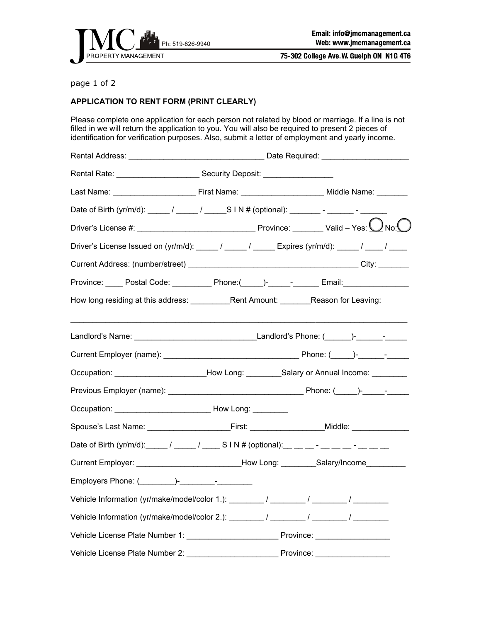

75-302 College Ave. W. Guelph ON N1G 4T6

## page 1 of 2

## **APPLICATION TO RENT FORM (PRINT CLEARLY)**

Please complete one application for each person not related by blood or marriage. If a line is not filled in we will return the application to you. You will also be required to present 2 pieces of identification for verification purposes. Also, submit a letter of employment and yearly income.

| Rental Rate: <u>Contact Contract Contract Contract Contract Contract Contract Contract Contract Contract Contract Contract Contract Contract Contract Contract Contract Contract Contract Contract Contract Contract Contract Co</u> |  |  |  |
|--------------------------------------------------------------------------------------------------------------------------------------------------------------------------------------------------------------------------------------|--|--|--|
|                                                                                                                                                                                                                                      |  |  |  |
| Date of Birth (yr/m/d): _____ / _____ / _____S I N # (optional): ________- - ______- - _______                                                                                                                                       |  |  |  |
|                                                                                                                                                                                                                                      |  |  |  |
| Driver's License Issued on (yr/m/d): _____/ _____/ _____ Expires (yr/m/d): _____/ ____/ ____                                                                                                                                         |  |  |  |
|                                                                                                                                                                                                                                      |  |  |  |
| Province: _____ Postal Code: __________ Phone:(_____)-_____-_-____ Email: ______________                                                                                                                                             |  |  |  |
| How long residing at this address: ____________Rent Amount: ________Reason for Leaving:                                                                                                                                              |  |  |  |
|                                                                                                                                                                                                                                      |  |  |  |
|                                                                                                                                                                                                                                      |  |  |  |
| Occupation: ________________________How Long: _________Salary or Annual Income: _______                                                                                                                                              |  |  |  |
|                                                                                                                                                                                                                                      |  |  |  |
|                                                                                                                                                                                                                                      |  |  |  |
| Spouse's Last Name: _____________________________First: _______________________Middle: _____________                                                                                                                                 |  |  |  |
| Date of Birth (yr/m/d): _____/ _____/ _____S I N # (optional): __ __ __ - __ __ - __ __ __ __                                                                                                                                        |  |  |  |
| Current Employer: __________________________How Long: _________Salary/Income__________                                                                                                                                               |  |  |  |
| Employers Phone: ( )- The Contract of The Contract of The Contract of The Contract of The Contract of The Contract of The Contract of The Contract of The Contract of The Contract of The Contract of The Contract of The Cont       |  |  |  |
| Vehicle Information (yr/make/model/color 1.): _______/ _______/ _______/ _______/                                                                                                                                                    |  |  |  |
| Vehicle Information (yr/make/model/color 2.): ________/ _______/ _______/ _______/                                                                                                                                                   |  |  |  |
|                                                                                                                                                                                                                                      |  |  |  |
|                                                                                                                                                                                                                                      |  |  |  |